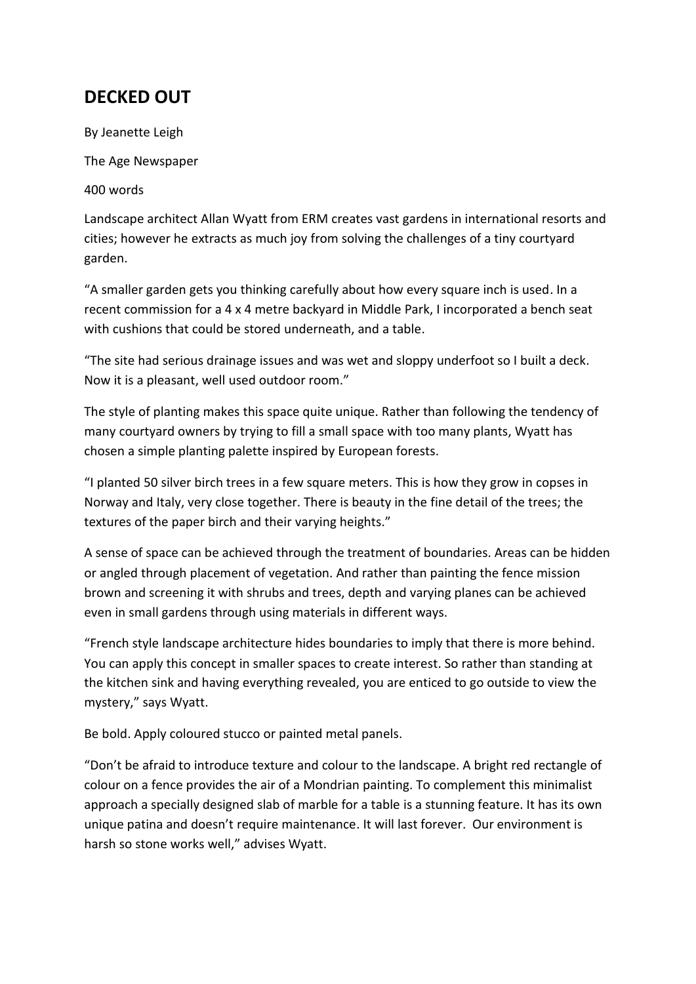## **DECKED OUT**

By Jeanette Leigh

The Age Newspaper

400 words

Landscape architect Allan Wyatt from ERM creates vast gardens in international resorts and cities; however he extracts as much joy from solving the challenges of a tiny courtyard garden.

"A smaller garden gets you thinking carefully about how every square inch is used. In a recent commission for a 4 x 4 metre backyard in Middle Park, I incorporated a bench seat with cushions that could be stored underneath, and a table.

"The site had serious drainage issues and was wet and sloppy underfoot so I built a deck. Now it is a pleasant, well used outdoor room."

The style of planting makes this space quite unique. Rather than following the tendency of many courtyard owners by trying to fill a small space with too many plants, Wyatt has chosen a simple planting palette inspired by European forests.

"I planted 50 silver birch trees in a few square meters. This is how they grow in copses in Norway and Italy, very close together. There is beauty in the fine detail of the trees; the textures of the paper birch and their varying heights."

A sense of space can be achieved through the treatment of boundaries. Areas can be hidden or angled through placement of vegetation. And rather than painting the fence mission brown and screening it with shrubs and trees, depth and varying planes can be achieved even in small gardens through using materials in different ways.

"French style landscape architecture hides boundaries to imply that there is more behind. You can apply this concept in smaller spaces to create interest. So rather than standing at the kitchen sink and having everything revealed, you are enticed to go outside to view the mystery," says Wyatt.

Be bold. Apply coloured stucco or painted metal panels.

"Don't be afraid to introduce texture and colour to the landscape. A bright red rectangle of colour on a fence provides the air of a Mondrian painting. To complement this minimalist approach a specially designed slab of marble for a table is a stunning feature. It has its own unique patina and doesn't require maintenance. It will last forever. Our environment is harsh so stone works well," advises Wyatt.